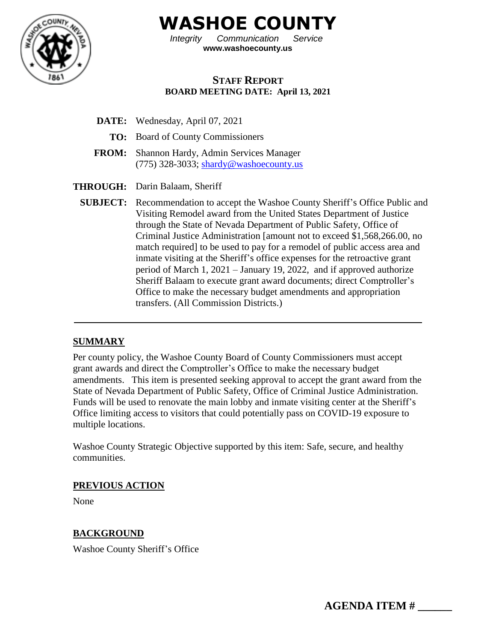

**WASHOE COUNTY**

*Integrity Communication Service* **www.washoecounty.us**

## **STAFF REPORT BOARD MEETING DATE: April 13, 2021**

- **DATE:** Wednesday, April 07, 2021
	- **TO:** Board of County Commissioners
- **FROM:** Shannon Hardy, Admin Services Manager (775) 328-3033; [shardy@washoecounty.us](mailto:shardy@washoecounty.us)
- **THROUGH:** Darin Balaam, Sheriff
	- **SUBJECT:** Recommendation to accept the Washoe County Sheriff's Office Public and Visiting Remodel award from the United States Department of Justice through the State of Nevada Department of Public Safety, Office of Criminal Justice Administration [amount not to exceed \$1,568,266.00, no match required] to be used to pay for a remodel of public access area and inmate visiting at the Sheriff's office expenses for the retroactive grant period of March 1, 2021 – January 19, 2022, and if approved authorize Sheriff Balaam to execute grant award documents; direct Comptroller's Office to make the necessary budget amendments and appropriation transfers. (All Commission Districts.)

### **SUMMARY**

Per county policy, the Washoe County Board of County Commissioners must accept grant awards and direct the Comptroller's Office to make the necessary budget amendments. This item is presented seeking approval to accept the grant award from the State of Nevada Department of Public Safety, Office of Criminal Justice Administration. Funds will be used to renovate the main lobby and inmate visiting center at the Sheriff's Office limiting access to visitors that could potentially pass on COVID-19 exposure to multiple locations.

Washoe County Strategic Objective supported by this item: Safe, secure, and healthy communities.

### **PREVIOUS ACTION**

None

### **BACKGROUND**

Washoe County Sheriff's Office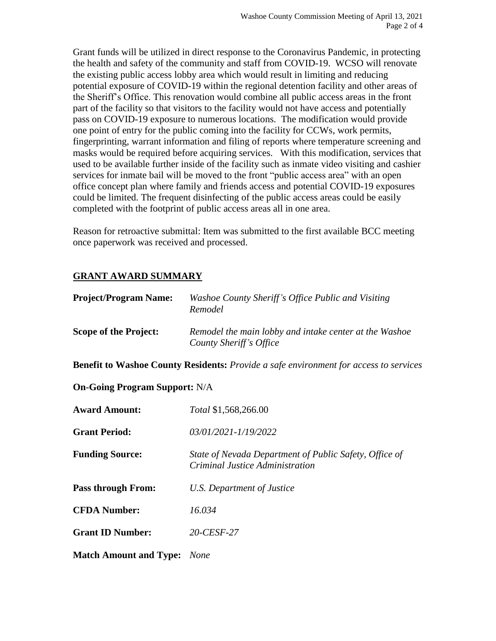Grant funds will be utilized in direct response to the Coronavirus Pandemic, in protecting the health and safety of the community and staff from COVID-19. WCSO will renovate the existing public access lobby area which would result in limiting and reducing potential exposure of COVID-19 within the regional detention facility and other areas of the Sheriff's Office. This renovation would combine all public access areas in the front part of the facility so that visitors to the facility would not have access and potentially pass on COVID-19 exposure to numerous locations. The modification would provide one point of entry for the public coming into the facility for CCWs, work permits, fingerprinting, warrant information and filing of reports where temperature screening and masks would be required before acquiring services. With this modification, services that used to be available further inside of the facility such as inmate video visiting and cashier services for inmate bail will be moved to the front "public access area" with an open office concept plan where family and friends access and potential COVID-19 exposures could be limited. The frequent disinfecting of the public access areas could be easily completed with the footprint of public access areas all in one area.

Reason for retroactive submittal: Item was submitted to the first available BCC meeting once paperwork was received and processed.

### **GRANT AWARD SUMMARY**

| <b>Project/Program Name:</b>         | Washoe County Sheriff's Office Public and Visiting<br>Remodel                             |
|--------------------------------------|-------------------------------------------------------------------------------------------|
| <b>Scope of the Project:</b>         | Remodel the main lobby and intake center at the Washoe<br>County Sheriff's Office         |
|                                      | Benefit to Washoe County Residents: Provide a safe environment for access to services     |
| <b>On-Going Program Support: N/A</b> |                                                                                           |
| <b>Award Amount:</b>                 | Total \$1,568,266.00                                                                      |
| <b>Grant Period:</b>                 | 03/01/2021-1/19/2022                                                                      |
| <b>Funding Source:</b>               | State of Nevada Department of Public Safety, Office of<br>Criminal Justice Administration |
| <b>Pass through From:</b>            | U.S. Department of Justice                                                                |
| <b>CFDA Number:</b>                  | 16.034                                                                                    |
| <b>Grant ID Number:</b>              | 20-CESF-27                                                                                |
| <b>Match Amount and Type:</b>        | <b>None</b>                                                                               |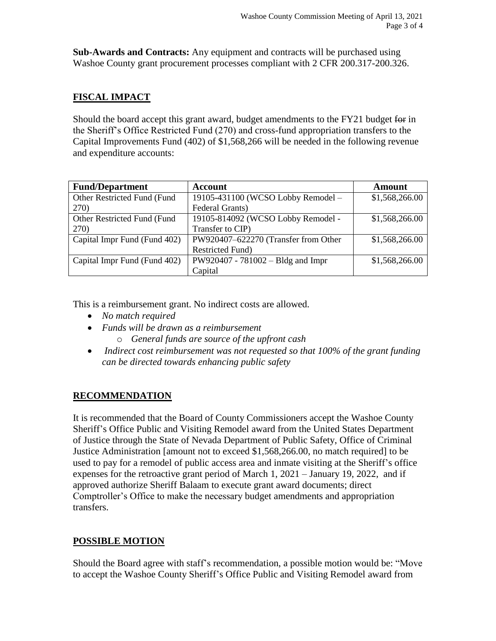**Sub-Awards and Contracts:** Any equipment and contracts will be purchased using Washoe County grant procurement processes compliant with 2 CFR 200.317-200.326.

# **FISCAL IMPACT**

Should the board accept this grant award, budget amendments to the FY21 budget for in the Sheriff's Office Restricted Fund (270) and cross-fund appropriation transfers to the Capital Improvements Fund (402) of \$1,568,266 will be needed in the following revenue and expenditure accounts:

| <b>Fund/Department</b>       | <b>Account</b>                       | Amount         |
|------------------------------|--------------------------------------|----------------|
| Other Restricted Fund (Fund  | 19105-431100 (WCSO Lobby Remodel -   | \$1,568,266.00 |
| 270)                         | Federal Grants)                      |                |
| Other Restricted Fund (Fund  | 19105-814092 (WCSO Lobby Remodel -   | \$1,568,266.00 |
| 270)                         | Transfer to CIP)                     |                |
| Capital Impr Fund (Fund 402) | PW920407-622270 (Transfer from Other | \$1,568,266.00 |
|                              | <b>Restricted Fund</b> )             |                |
| Capital Impr Fund (Fund 402) | PW920407 - 781002 - Bldg and Impr    | \$1,568,266.00 |
|                              | Capital                              |                |

This is a reimbursement grant. No indirect costs are allowed.

- *No match required*
- *Funds will be drawn as a reimbursement*
	- o *General funds are source of the upfront cash*
- *Indirect cost reimbursement was not requested so that 100% of the grant funding can be directed towards enhancing public safety*

### **RECOMMENDATION**

It is recommended that the Board of County Commissioners accept the Washoe County Sheriff's Office Public and Visiting Remodel award from the United States Department of Justice through the State of Nevada Department of Public Safety, Office of Criminal Justice Administration [amount not to exceed \$1,568,266.00, no match required] to be used to pay for a remodel of public access area and inmate visiting at the Sheriff's office expenses for the retroactive grant period of March 1, 2021 – January 19, 2022, and if approved authorize Sheriff Balaam to execute grant award documents; direct Comptroller's Office to make the necessary budget amendments and appropriation transfers.

# **POSSIBLE MOTION**

Should the Board agree with staff's recommendation, a possible motion would be: "Move to accept the Washoe County Sheriff's Office Public and Visiting Remodel award from